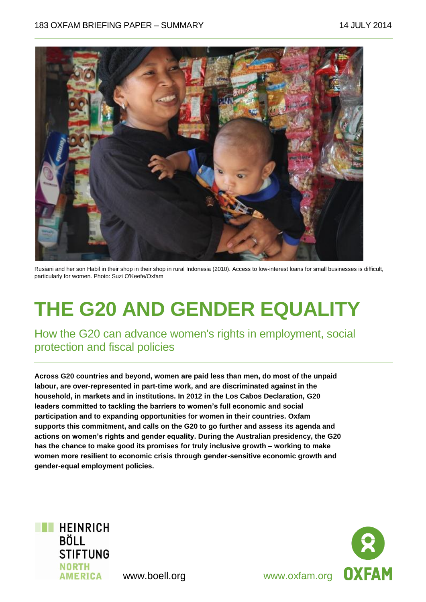

Rusiani and her son Habil in their shop in their shop in rural Indonesia (2010). Access to low-interest loans for small businesses is difficult, particularly for women. Photo: Suzi O'Keefe/Oxfam

# **THE G20 AND GENDER EQUALITY**

How the G20 can advance women's rights in employment, social protection and fiscal policies

**Across G20 countries and beyond, women are paid less than men, do most of the unpaid labour, are over-represented in part-time work, and are discriminated against in the household, in markets and in institutions. In 2012 in the Los Cabos Declaration***,* **G20 leaders committed to tackling the barriers to women's full economic and social participation and to expanding opportunities for women in their countries. Oxfam supports this commitment, and calls on the G20 to go further and assess its agenda and actions on women's rights and gender equality. During the Australian presidency, the G20 has the chance to make good its promises for truly inclusive growth – working to make women more resilient to economic crisis through gender-sensitive economic growth and gender-equal employment policies.**



**OXFAM**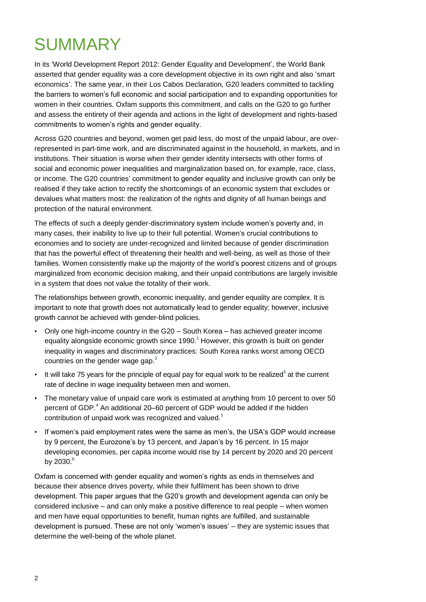## SUMMARY

In its 'World Development Report 2012: Gender Equality and Development', the World Bank asserted that gender equality was a core development objective in its own right and also 'smart economics'. The same year, in their Los Cabos Declaration*,* G20 leaders committed to tackling the barriers to women's full economic and social participation and to expanding opportunities for women in their countries. Oxfam supports this commitment, and calls on the G20 to go further and assess the entirety of their agenda and actions in the light of development and rights-based commitments to women's rights and gender equality.

Across G20 countries and beyond, women get paid less, do most of the unpaid labour, are overrepresented in part-time work, and are discriminated against in the household, in markets, and in institutions. Their situation is worse when their gender identity intersects with other forms of social and economic power inequalities and marginalization based on, for example, race, class, or income. The G20 countries' commitment to gender equality and inclusive growth can only be realised if they take action to rectify the shortcomings of an economic system that excludes or devalues what matters most: the realization of the rights and dignity of all human beings and protection of the natural environment.

The effects of such a deeply gender-discriminatory system include women's poverty and, in many cases, their inability to live up to their full potential. Women's crucial contributions to economies and to society are under-recognized and limited because of gender discrimination that has the powerful effect of threatening their health and well-being, as well as those of their families. Women consistently make up the majority of the world's poorest citizens and of groups marginalized from economic decision making, and their unpaid contributions are largely invisible in a system that does not value the totality of their work.

The relationships between growth, economic inequality, and gender equality are complex. It is important to note that growth does not automatically lead to gender equality; however, inclusive growth cannot be achieved with gender-blind policies.

- Only one high-income country in the G20 South Korea has achieved greater income equality alongside economic growth since  $1990<sup>1</sup>$  However, this growth is built on gender inequality in wages and discriminatory practices: South Korea ranks worst among OECD countries on the gender wage gap. $<sup>2</sup>$ </sup>
- $\cdot$  It will take 75 years for the principle of equal pay for equal work to be realized<sup>3</sup> at the current rate of decline in wage inequality between men and women.
- The monetary value of unpaid care work is estimated at anything from 10 percent to over 50 percent of GDP. $^4$  An additional 20–60 percent of GDP would be added if the hidden contribution of unpaid work was recognized and valued.<sup>5</sup>
- If women's paid employment rates were the same as men's, the USA's GDP would increase by 9 percent, the Eurozone's by 13 percent, and Japan's by 16 percent. In 15 major developing economies, per capita income would rise by 14 percent by 2020 and 20 percent by  $2030.<sup>6</sup>$

Oxfam is concerned with gender equality and women's rights as ends in themselves and because their absence drives poverty, while their fulfilment has been shown to drive development. This paper argues that the G20's growth and development agenda can only be considered inclusive – and can only make a positive difference to real people – when women and men have equal opportunities to benefit, human rights are fulfilled, and sustainable development is pursued. These are not only 'women's issues' – they are systemic issues that determine the well-being of the whole planet.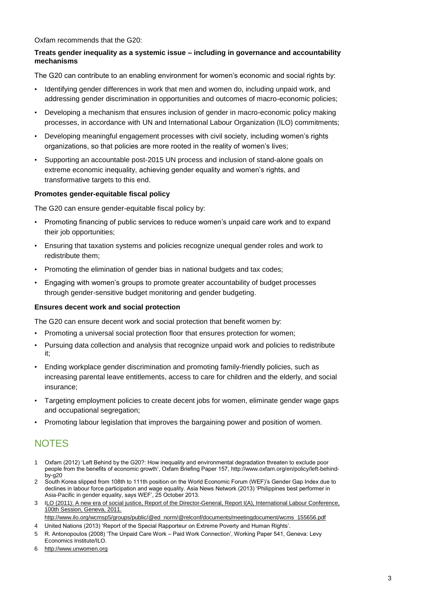Oxfam recommends that the G20:

#### **Treats gender inequality as a systemic issue – including in governance and accountability mechanisms**

The G20 can contribute to an enabling environment for women's economic and social rights by:

- Identifying gender differences in work that men and women do, including unpaid work, and addressing gender discrimination in opportunities and outcomes of macro-economic policies;
- Developing a mechanism that ensures inclusion of gender in macro-economic policy making processes, in accordance with UN and International Labour Organization (ILO) commitments;
- Developing meaningful engagement processes with civil society, including women's rights organizations, so that policies are more rooted in the reality of women's lives;
- Supporting an accountable post-2015 UN process and inclusion of stand-alone goals on extreme economic inequality, achieving gender equality and women's rights, and transformative targets to this end.

#### **Promotes gender-equitable fiscal policy**

The G20 can ensure gender-equitable fiscal policy by:

- Promoting financing of public services to reduce women's unpaid care work and to expand their job opportunities;
- Ensuring that taxation systems and policies recognize unequal gender roles and work to redistribute them;
- Promoting the elimination of gender bias in national budgets and tax codes;
- Engaging with women's groups to promote greater accountability of budget processes through gender-sensitive budget monitoring and gender budgeting.

#### **Ensures decent work and social protection**

The G20 can ensure decent work and social protection that benefit women by:

- Promoting a universal social protection floor that ensures protection for women;
- Pursuing data collection and analysis that recognize unpaid work and policies to redistribute it;
- Ending workplace gender discrimination and promoting family-friendly policies, such as increasing parental leave entitlements, access to care for children and the elderly, and social insurance;
- Targeting employment policies to create decent jobs for women, eliminate gender wage gaps and occupational segregation;
- Promoting labour legislation that improves the bargaining power and position of women.

### **NOTES**

- 1 Oxfam (2012) 'Left Behind by the G20?: How inequality and environmental degradation threaten to exclude poor people from the benefits of economic growth', Oxfam Briefing Paper 157[, http://www.oxfam.org/en/policy/left-behind](http://www.oxfam.org/en/policy/left-behind-by-g20)[by-g20](http://www.oxfam.org/en/policy/left-behind-by-g20)
- 2 South Korea slipped from 108th to 111th position on the World Economic Forum (WEF)'s Gender Gap Index due to declines in labour force participation and wage equality. Asia News Network (2013) 'Philippines best performer in Asia-Pacific in gender equality, says WEF', 25 October 2013.
- 3 [ILO \(2011\): A new era of social justice, Report of the Director-General, Report I\(A\), International Labour Conference,](file://odrive/Office/CPD%20Policy%20and%20Practice%20Comms/Team/Content%20development%20team/Policy%20Papers/bp-active/G20%20gender%20inequality%20dp/final%20files/Word/LO%20(2011):%20A%20new%20era%20of%20social%20justice,%20Report%20of%20the%20Director-General,%20Report%20I(A),%20International%20Labour%20Conference,%20100th%20Session,%20Geneva,%202011.%20http:/www.ilo.org/wcmsp5/groups/public/@ed_norm/@relconf/documents/meetingdocument/wcms_155656.pdf)  [100th Session, Geneva, 2011.](file://odrive/Office/CPD%20Policy%20and%20Practice%20Comms/Team/Content%20development%20team/Policy%20Papers/bp-active/G20%20gender%20inequality%20dp/final%20files/Word/LO%20(2011):%20A%20new%20era%20of%20social%20justice,%20Report%20of%20the%20Director-General,%20Report%20I(A),%20International%20Labour%20Conference,%20100th%20Session,%20Geneva,%202011.%20http:/www.ilo.org/wcmsp5/groups/public/@ed_norm/@relconf/documents/meetingdocument/wcms_155656.pdf)
- [http://www.ilo.org/wcmsp5/groups/public/@ed\\_norm/@relconf/documents/meetingdocument/wcms\\_155656.pdf](file://odrive/Office/CPD%20Policy%20and%20Practice%20Comms/Team/Content%20development%20team/Policy%20Papers/bp-active/G20%20gender%20inequality%20dp/final%20files/Word/LO%20(2011):%20A%20new%20era%20of%20social%20justice,%20Report%20of%20the%20Director-General,%20Report%20I(A),%20International%20Labour%20Conference,%20100th%20Session,%20Geneva,%202011.%20http:/www.ilo.org/wcmsp5/groups/public/@ed_norm/@relconf/documents/meetingdocument/wcms_155656.pdf)
- 4 United Nations (2013) 'Report of the Special Rapporteur on Extreme Poverty and Human Rights'.
- 5 R. Antonopoulos (2008) 'The Unpaid Care Work Paid Work Connection', Working Paper 541, Geneva: Levy Economics Institute/ILO.
- 6 [http://www.unwomen.org](http://www.unwomen.org/)